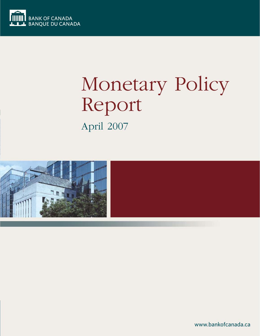

# Monetary Policy Report April 2007



www.bankofcanada.ca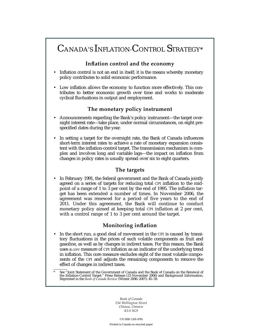# CANADA'S INFLATION-CONTROL STRATEGY\*

## **Inflation control and the economy**

- Inflation control is not an end in itself; it is the means whereby monetary policy contributes to solid economic performance.
- Low inflation allows the economy to function more effectively. This contributes to better economic growth over time and works to moderate cyclical fluctuations in output and employment.

## **The monetary policy instrument**

- Announcements regarding the Bank's policy instrument—the target overnight interest rate—take place, under normal circumstances, on eight prespecified dates during the year.
- In setting a target for the overnight rate, the Bank of Canada influences short-term interest rates to achieve a rate of monetary expansion consistent with the inflation-control target. The transmission mechanism is complex and involves long and variable lags—the impact on inflation from changes in policy rates is usually spread over six to eight quarters.

#### **The targets**

• In February 1991, the federal government and the Bank of Canada jointly agreed on a series of targets for reducing total CPI inflation to the midpoint of a range of 1 to 3 per cent by the end of 1995. The inflation target has been extended a number of times. In November 2006, the agreement was renewed for a period of five years to the end of 2011. Under this agreement, the Bank will continue to conduct monetary policy aimed at keeping total CPI inflation at 2 per cent, with a control range of 1 to 3 per cent around the target.

## **Monitoring inflation**

In the short run, a good deal of movement in the CPI is caused by transitory fluctuations in the prices of such volatile components as fruit and gasoline, as well as by changes in indirect taxes. For this reason, the Bank uses a *core* measure of CPI inflation as an indicator of the underlying trend in inflation. This core measure excludes eight of the most volatile components of the CPI and adjusts the remaining components to remove the effect of changes in indirect taxes.

*Bank of Canada 234 Wellington Street Ottawa, Ontario K1A 0G9*

CN ISSN 1201-8783

Printed in Canada on recycled paper

See "Joint Statement of the Government of Canada and the Bank of Canada on the Renewal of the Inflation-Control Target." Press Release (23 November 2006) and Background Information. Reprinted in the *Bank of Canada Review* (Winter 2006–2007): 45–59.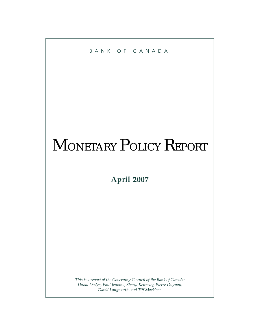

# MONETARY POLICY REPORT

**— April 2007 —**

*This is a report of the Governing Council of the Bank of Canada: David Dodge, Paul Jenkins, Sheryl Kennedy, Pierre Duguay, David Longworth, and Tiff Macklem.*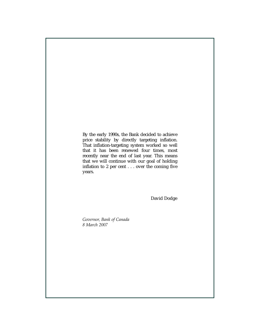By the early 1990s, the Bank decided to achieve price stability by directly targeting inflation. That inflation-targeting system worked so well that it has been renewed four times, most recently near the end of last year. This means that we will continue with our goal of holding inflation to 2 per cent . . . over the coming five years.

David Dodge

*Governor, Bank of Canada 8 March 2007*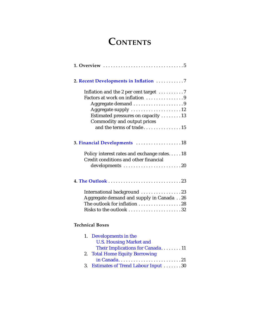# **CONTENTS**

| 2. Recent Developments in Inflation 7                                                           |
|-------------------------------------------------------------------------------------------------|
| Inflation and the 2 per cent target $\dots\dots\dots$<br>Factors at work on inflation 9         |
|                                                                                                 |
| Aggregate supply 12                                                                             |
| Estimated pressures on capacity 13                                                              |
| Commodity and output prices                                                                     |
| and the terms of trade15                                                                        |
| 3. Financial Developments  18                                                                   |
| Policy interest rates and exchange rates18<br>Credit conditions and other financial             |
| developments 20                                                                                 |
|                                                                                                 |
|                                                                                                 |
| International background 23                                                                     |
| Aggregate demand and supply in Canada 26                                                        |
| The outlook for inflation 28                                                                    |
| Risks to the outlook 32                                                                         |
| <b>Technical Boxes</b>                                                                          |
| Developments in the<br>1.<br><b>U.S. Housing Market and</b><br>Their Implications for Canada 11 |
| <b>Total Home Equity Borrowing</b><br>2.                                                        |

|--|--|--|--|--|--|--|--|--|--|--|--|--|--|--|--|--|--|--|--|--|--|--|--|--|--|--|--|

3. [Estimates of Trend Labour Input](#page-30-0) . . . . . . . 30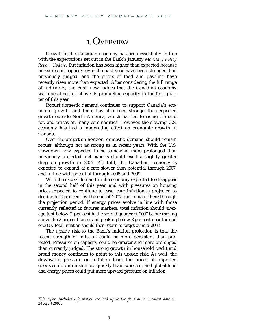## 1. OVERVIEW

Growth in the Canadian economy has been essentially in line with the expectations set out in the Bank's January *Monetary Policy Report Update*. But inflation has been higher than expected because pressures on capacity over the past year have been stronger than previously judged, and the prices of food and gasoline have recently risen more than expected. After considering the full range of indicators, the Bank now judges that the Canadian economy was operating just above its production capacity in the first quarter of this year.

Robust domestic demand continues to support Canada's economic growth, and there has also been stronger-than-expected growth outside North America, which has led to rising demand for, and prices of, many commodities. However, the slowing U.S. economy has had a moderating effect on economic growth in Canada.

Over the projection horizon, domestic demand should remain robust, although not as strong as in recent years. With the U.S. slowdown now expected to be somewhat more prolonged than previously projected, net exports should exert a slightly greater drag on growth in 2007. All told, the Canadian economy is expected to expand at a rate slower than potential through 2007, and in line with potential through 2008 and 2009.

With the excess demand in the economy expected to disappear in the second half of this year, and with pressures on housing prices expected to continue to ease, core inflation is projected to decline to 2 per cent by the end of 2007 and remain there through the projection period. If energy prices evolve in line with those currently reflected in futures markets, total inflation should average just below 2 per cent in the second quarter of 2007 before moving above the 2 per cent target and peaking below 3 per cent near the end of 2007. Total inflation should then return to target by mid-2008.

The upside risk to the Bank's inflation projection is that the recent strength of inflation could be more persistent than projected. Pressures on capacity could be greater and more prolonged than currently judged. The strong growth in household credit and broad money continues to point to this upside risk. As well, the downward pressure on inflation from the prices of imported goods could diminish more quickly than expected, and global food and energy prices could put more upward pressure on inflation.

*This report includes information received up to the fixed announcement date on 24 April 2007.*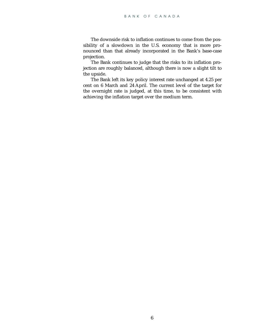The downside risk to inflation continues to come from the possibility of a slowdown in the U.S. economy that is more pronounced than that already incorporated in the Bank's base-case projection.

The Bank continues to judge that the risks to its inflation projection are roughly balanced, although there is now a slight tilt to the upside.

The Bank left its key policy interest rate unchanged at 4.25 per cent on 6 March and 24 April. The current level of the target for the overnight rate is judged, at this time, to be consistent with achieving the inflation target over the medium term.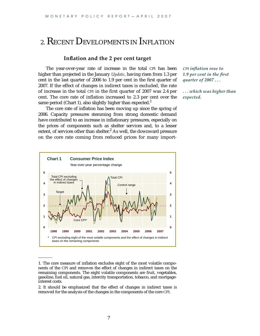# <span id="page-7-0"></span>2. RECENT DEVELOPMENTS IN INFLATION

#### **Inflation and the 2 per cent target**

The year-over-year rate of increase in the total CPI has been higher than projected in the January *Update*, having risen from 1.3 per cent in the last quarter of 2006 to 1.9 per cent in the first quarter of 2007. If the effect of changes in indirect taxes is excluded, the rate of increase in the total CPI in the first quarter of 2007 was 2.4 per cent. The core rate of inflation increased to 2.3 per cent over the same period (Chart 1), also slightly higher than expected.<sup>1</sup>

The core rate of inflation has been moving up since the spring of 2006. Capacity pressures stemming from strong domestic demand have contributed to an increase in inflationary pressures, especially on the prices of components such as shelter services and, to a lesser extent, of services other than shelter. $<sup>2</sup>$  As well, the downward pressure</sup> on the core rate coming from reduced prices for many import-

*CPI inflation rose to 1.9 per cent in the first quarter of 2007 . . .*

*...which was higher than expected.*



<sup>1.</sup> The core measure of inflation excludes eight of the most volatile components of the CPI and removes the effect of changes in indirect taxes on the remaining components. The eight volatile components are fruit, vegetables, gasoline, fuel oil, natural gas, intercity transportation, tobacco, and mortgageinterest costs.

2. It should be emphasized that the effect of changes in indirect taxes is removed for the analysis of the changes in the components of the core CPI.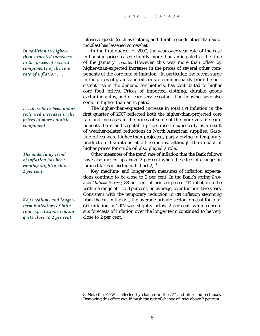*In addition to higherthan-expected increases in the prices of several components of the core rate of inflation . . .*

*. . . there have been unanticipated increases in the prices of more volatile components.*

*The underlying trend of inflation has been running slightly above 2 per cent.*

*Key medium- and longerterm indicators of inflation expectations remain quite close to 2 per cent.*

intensive goods (such as clothing and durable goods other than automobiles) has lessened somewhat.

In the first quarter of 2007, the year-over-year rate of increase in housing prices eased slightly more than anticipated at the time of the January *Update*. However, this was more than offset by higher-than-expected increases in the prices of several other components of the core rate of inflation. In particular, the recent surge in the prices of grains and oilseeds, stemming partly from the persistent rise in the demand for biofuels, has contributed to higher core food prices. Prices of imported clothing, durable goods excluding autos, and of core services other than housing have also come in higher than anticipated.

The higher-than-expected increase in total CPI inflation in the first quarter of 2007 reflected both the higher-than-projected core rate and increases in the prices of some of the more volatile components. Fruit and vegetable prices rose unexpectedly as a result of weather-related reductions in North American supplies. Gasoline prices were higher than projected, partly owing to temporary production disruptions at oil refineries, although the impact of higher prices for crude oil also played a role.

Other measures of the trend rate of inflation that the Bank follows have also moved up above 2 per cent when the effect of changes in indirect taxes is excluded (Chart 2). $3$ 

Key medium- and longer-term measures of inflation expectations continue to be close to 2 per cent. In the Bank's spring *Business Outlook Survey*, 88 per cent of firms expected CPI inflation to be within a range of 1 to 3 per cent, on average, over the next two years. Consistent with the temporary reduction in CPI inflation stemming from the cut in the GST, the average private sector forecast for total CPI inflation in 2007 was slightly below 2 per cent, while consensus forecasts of inflation over the longer term continued to be very close to 2 per cent.

<sup>3.</sup> Note that CPIW is affected by changes in the GST and other indirect taxes. Removing this effect would push the rate of change of CPIW above 2 per cent.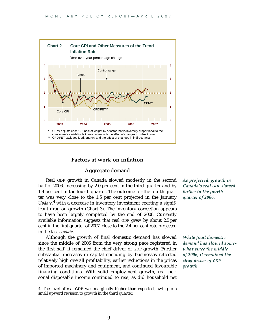

#### **Factors at work on inflation**

#### Aggregate demand

Real GDP growth in Canada slowed modestly in the second half of 2006, increasing by 2.0 per cent in the third quarter and by 1.4 per cent in the fourth quarter. The outcome for the fourth quarter was very close to the 1.5 per cent projected in the January *Update,*<sup>4</sup> with a decrease in inventory investment exerting a significant drag on growth (Chart 3). The inventory correction appears to have been largely completed by the end of 2006. Currently available information suggests that real GDP grew by about 2.5 per cent in the first quarter of 2007, close to the 2.4 per cent rate projected in the last *Update*.

Although the growth of final domestic demand has slowed since the middle of 2006 from the very strong pace registered in the first half, it remained the chief driver of GDP growth. Further substantial increases in capital spending by businesses reflected relatively high overall profitability, earlier reductions in the prices of imported machinery and equipment, and continued favourable financing conditions. With solid employment growth, real personal disposable income continued to rise, as did household net

*As projected, growth in Canada's real GDP slowed further in the fourth quarter of 2006.*

*While final domestic demand has slowed somewhat since the middle of 2006, it remained the chief driver of GDP growth.*

<sup>4.</sup> The level of real GDP was marginally higher than expected, owing to a small upward revision to growth in the third quarter.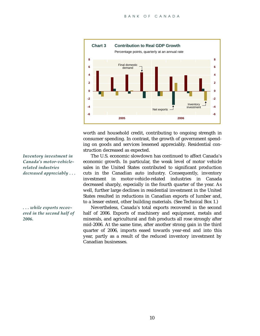

worth and household credit, contributing to ongoing strength in consumer spending. In contrast, the growth of government spending on goods and services lessened appreciably. Residential construction decreased as expected.

The U.S. economic slowdown has continued to affect Canada's economic growth. In particular, the weak level of motor vehicle sales in the United States contributed to significant production cuts in the Canadian auto industry. Consequently, inventory investment in motor-vehicle-related industries in Canada decreased sharply, especially in the fourth quarter of the year. As well, further large declines in residential investment in the United States resulted in reductions in Canadian exports of lumber and, to a lesser extent, other building materials. (See Technical Box 1.)

Nevertheless, Canada's total exports recovered in the second half of 2006. Exports of machinery and equipment, metals and minerals, and agricultural and fish products all rose strongly after mid-2006. At the same time, after another strong gain in the third quarter of 2006, imports eased towards year-end and into this year, partly as a result of the reduced inventory investment by Canadian businesses.

*Inventory investment in Canada's motor-vehiclerelated industries decreased appreciably . . .*

*. . . while exports recovered in the second half of 2006.*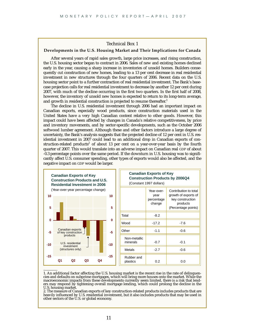#### Technical Box 1

#### <span id="page-11-0"></span>**Developments in the U.S. Housing Market and Their Implications for Canada**

After several years of rapid sales growth, large price increases, and rising construction, the U.S. housing sector began to contract in 2006. Sales of new and existing homes declined early in the year, causing a sharp increase in inventories of unsold homes. Builders consequently cut construction of new homes, leading to a 13 per cent decrease in real residential investment in new structures through the four quarters of 2006. Recent data on the U.S. housing sector point to a further contraction of real residential investment. The Bank's basecase projection calls for real residential investment to decrease by another 12 per cent during 2007, with much of the decline occurring in the first two quarters. In the first half of 2008, however, the inventory of unsold new homes is expected to return to its long-term average, and growth in residential construction is projected to resume thereafter.<sup>1</sup>

The decline in U.S. residential investment through 2006 had an important impact on Canadian exports, especially wood products, since construction materials used in the United States have a very high Canadian content relative to other goods. However, this impact could have been affected by changes in Canada's relative competitiveness, by price and inventory movements, and by sector-specific developments, such as the October 2006 softwood lumber agreement. Although these and other factors introduce a large degree of uncertainty, the Bank's analysis suggests that the projected decline of 12 per cent in U.S. residential investment in 2007 could lead to an additional drop in Canadian exports of construction-related products<sup>2</sup> of about 13 per cent on a year-over-year basis by the fourth quarter of 2007. This would translate into an adverse impact on Canadian real GDP of about -0.3 percentage points over the same period. If the downturn in U.S. housing was to significantly affect U.S. consumer spending, other types of exports would also be affected, and the negative impact on GDP would be larger.



<sup>1.</sup> An additional factor affecting the U.S. housing market is the recent rise in the rate of delinquencies and defaults on subprime mortgages, which will bring more houses onto the market. While the macroeconomic impacts from these developments currently seem limited, there is a risk that lenders may respond by tightening overall mortgage lending, which could prolong the decline in the U.S. housing market.

2. The measure of Canadian exports of key construction-related products includes products that are heavily influenced by U.S. residential investment, but it also includes products that may be used in other sectors of the U.S. or global economy.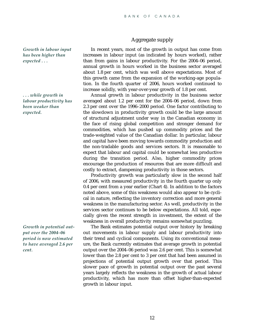*Growth in labour input has been higher than expected . . .*

*. . . while growth in labour productivity has been weaker than expected.*

*Growth in potential output over the 2004–06 period is now estimated to have averaged 2.6 per cent.*

#### Aggregate supply

In recent years, most of the growth in output has come from increases in labour input (as indicated by hours worked), rather than from gains in labour productivity. For the 2004–06 period, annual growth in hours worked in the business sector averaged about 1.8 per cent, which was well above expectations. Most of this growth came from the expansion of the working-age population. In the fourth quarter of 2006, hours worked continued to increase solidly, with year-over-year growth of 1.8 per cent.

Annual growth in labour productivity in the business sector averaged about 1.2 per cent for the 2004–06 period, down from 2.3 per cent over the 1996–2000 period. One factor contributing to the slowdown in productivity growth could be the large amount of structural adjustment under way in the Canadian economy in the face of rising global competition and stronger demand for commodities, which has pushed up commodity prices and the trade-weighted value of the Canadian dollar. In particular, labour and capital have been moving towards commodity production and the non-tradable goods and services sectors. It is reasonable to expect that labour and capital could be somewhat less productive during the transition period. Also, higher commodity prices encourage the production of resources that are more difficult and costly to extract, dampening productivity in those sectors.

Productivity growth was particularly slow in the second half of 2006, with measured productivity in the fourth quarter up only 0.4 per cent from a year earlier (Chart 4). In addition to the factors noted above, some of this weakness would also appear to be cyclical in nature, reflecting the inventory correction and more general weakness in the manufacturing sector. As well, productivity in the services sector continues to be below expectations. All told, especially given the recent strength in investment, the extent of the weakness in overall productivity remains somewhat puzzling.

The Bank estimates potential output over history by breaking out movements in labour supply and labour productivity into their trend and cyclical components. Using its conventional measure, the Bank currently estimates that average growth in potential output over the 2004–06 period was 2.6 per cent. This is somewhat lower than the 2.8 per cent to 3 per cent that had been assumed in projections of potential output growth over that period. This slower pace of growth in potential output over the past several years largely reflects the weakness in the growth of actual labour productivity, which has more than offset higher-than-expected growth in labour input.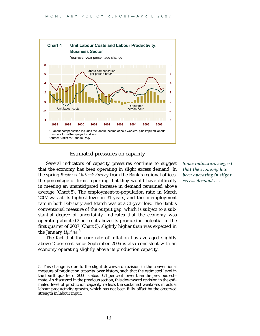

#### Estimated pressures on capacity

Several indicators of capacity pressures continue to suggest that the economy has been operating in slight excess demand. In the spring *Business Outlook Survey* from the Bank's regional offices, the percentage of firms reporting that they would have difficulty in meeting an unanticipated increase in demand remained above average (Chart 5). The employment-to-population ratio in March 2007 was at its highest level in 31 years, and the unemployment rate in both February and March was at a 31-year low. The Bank's conventional measure of the output gap, which is subject to a substantial degree of uncertainty, indicates that the economy was operating about 0.2 per cent above its production potential in the first quarter of 2007 (Chart 5), slightly higher than was expected in the January *Update*. 5

The fact that the core rate of inflation has averaged slightly above 2 per cent since September 2006 is also consistent with an economy operating slightly above its production capacity.

*Some indicators suggest that the economy has been operating in slight excess demand . . .*

<sup>5.</sup> This change is due to the slight downward revision in the conventional measure of production capacity over history, such that the estimated level in the fourth quarter of 2006 is about 0.1 per cent lower than the previous estimate. As discussed in the previous section, this downward revision in the estimated level of production capacity reflects the sustained weakness in actual labour productivity growth, which has not been fully offset by the observed strength in labour input.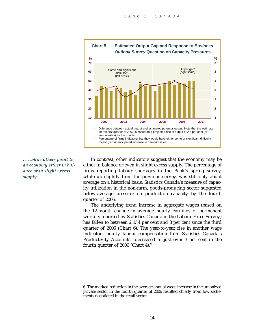

*. . . while others point to an economy either in balance or in slight excess supply.*

In contrast, other indicators suggest that the economy may be either in balance or even in slight excess supply. The percentage of firms reporting labour shortages in the Bank's spring survey, while up slightly from the previous survey, was still only about average on a historical basis. Statistics Canada's measure of capacity utilization in the non-farm, goods-producing sector suggested below-average pressure on production capacity by the fourth quarter of 2006.

The underlying trend increase in aggregate wages (based on the 12-month change in average hourly earnings of permanent workers reported by Statistics Canada in the Labour Force Survey) has fallen to between 2 1/4 per cent and 3 per cent since the third quarter of 2006 (Chart 6). The year-to-year rise in another wage indicator—hourly labour compensation from Statistics Canada's Productivity Accounts—decreased to just over 3 per cent in the fourth quarter of 2006 (Chart 4).<sup>6</sup>

<sup>6.</sup> The marked reduction in the average annual wage increase in the unionized private sector in the fourth quarter of 2006 resulted chiefly from low settlements negotiated in the retail sector.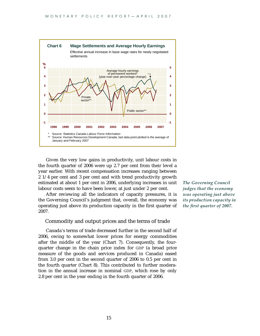

Given the very low gains in productivity, unit labour costs in the fourth quarter of 2006 were up 2.7 per cent from their level a year earlier. With recent compensation increases ranging between 2 1/4 per cent and 3 per cent and with trend productivity growth estimated at about 1 per cent in 2006, underlying increases in unit labour costs seem to have been lower, at just under 2 per cent.

After reviewing all the indicators of capacity pressures, it is the Governing Council's judgment that, overall, the economy was operating just above its production capacity in the first quarter of 2007.

#### Commodity and output prices and the terms of trade

Canada's terms of trade decreased further in the second half of 2006, owing to somewhat lower prices for energy commodities after the middle of the year (Chart 7). Consequently, the fourquarter change in the chain price index for GDP (a broad price measure of the goods and services produced in Canada) eased from 3.0 per cent in the second quarter of 2006 to 0.5 per cent in the fourth quarter (Chart 8). This contributed to further moderation in the annual increase in nominal GDP, which rose by only 2.8 per cent in the year ending in the fourth quarter of 2006.

*The Governing Council judges that the economy was operating just above its production capacity in the first quarter of 2007.*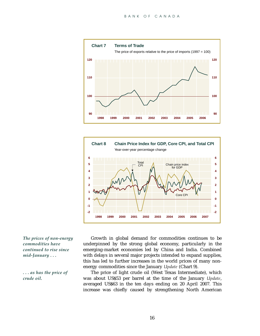



*The prices of non-energy commodities have continued to rise since mid-January . . .*

*. . . as has the price of crude oil.*

Growth in global demand for commodities continues to be underpinned by the strong global economy, particularly in the emerging-market economies led by China and India. Combined with delays in several major projects intended to expand supplies, this has led to further increases in the world prices of many nonenergy commodities since the January *Update* (Chart 9).

The price of light crude oil (West Texas Intermediate), which was about US\$53 per barrel at the time of the January *Update*, averaged US\$63 in the ten days ending on 20 April 2007. This increase was chiefly caused by strengthening North American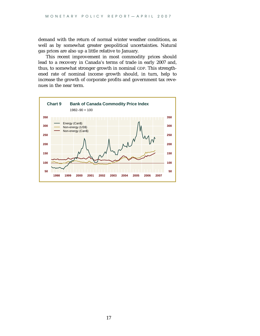demand with the return of normal winter weather conditions, as well as by somewhat greater geopolitical uncertainties. Natural gas prices are also up a little relative to January.

This recent improvement in most commodity prices should lead to a recovery in Canada's terms of trade in early 2007 and, thus, to somewhat stronger growth in nominal GDP. This strengthened rate of nominal income growth should, in turn, help to increase the growth of corporate profits and government tax revenues in the near term.

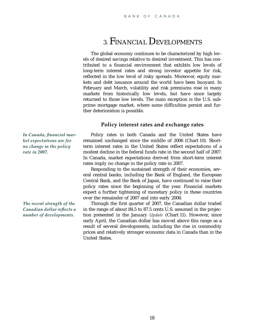# 3. FINANCIAL DEVELOPMENTS

<span id="page-18-0"></span>The global economy continues to be characterized by high levels of desired savings relative to desired investment. This has contributed to a financial environment that exhibits low levels of long-term interest rates and strong investor appetite for risk, reflected in the low level of risky spreads. Moreover, equity markets and debt issuance around the world have been buoyant. In February and March, volatility and risk premiums rose in many markets from historically low levels, but have since largely returned to those low levels. The main exception is the U.S. subprime mortgage market, where some difficulties persist and further deterioration is possible.

#### **Policy interest rates and exchange rates**

*In Canada, financial market expectations are for no change in the policy rate in 2007***.**

Policy rates in both Canada and the United States have remained unchanged since the middle of 2006 (Chart 10). Shortterm interest rates in the United States reflect expectations of a modest decline in the federal funds rate in the second half of 2007. In Canada, market expectations derived from short-term interest rates imply no change in the policy rate in 2007.

Responding to the sustained strength of their economies, several central banks, including the Bank of England, the European Central Bank, and the Bank of Japan, have continued to raise their policy rates since the beginning of the year. Financial markets expect a further tightening of monetary policy in these countries over the remainder of 2007 and into early 2008.

Through the first quarter of 2007, the Canadian dollar traded in the range of about 84.5 to 87.5 cents U.S. assumed in the projection presented in the January *Update* (Chart 11). However, since early April, the Canadian dollar has moved above this range as a result of several developments, including the rise in commodity prices and relatively stronger economic data in Canada than in the United States.

*The recent strength of the Canadian dollar reflects a number of developments.*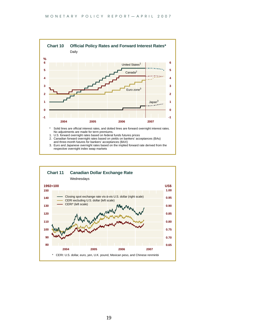

- 2. Canadian forward overnight rates based on yields on bankers' acceptances (BAs)
- and three-month futures for bankers' acceptances (BAX)
- 3. Euro and Japanese overnight rates based on the implied forward rate derived from the respective overnight index swap markets

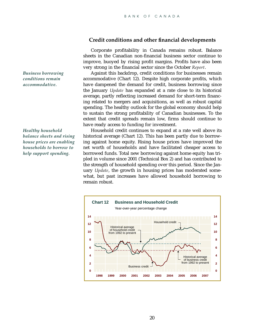## **Credit conditions and other financial developments**

Corporate profitability in Canada remains robust. Balance sheets in the Canadian non-financial business sector continue to improve, buoyed by rising profit margins. Profits have also been very strong in the financial sector since the October *Report*.

Against this backdrop, credit conditions for businesses remain accommodative (Chart 12). Despite high corporate profits, which have dampened the demand for credit, business borrowing since the January *Update* has expanded at a rate close to its historical average, partly reflecting increased demand for short-term financing related to mergers and acquisitions, as well as robust capital spending. The healthy outlook for the global economy should help to sustain the strong profitability of Canadian businesses. To the extent that credit spreads remain low, firms should continue to have ready access to funding for investment.

Household credit continues to expand at a rate well above its historical average (Chart 12). This has been partly due to borrowing against home equity. Rising house prices have improved the net worth of households and have facilitated cheaper access to borrowed funds. Total new borrowing against home equity has tripled in volume since 2001 (Technical Box 2) and has contributed to the strength of household spending over this period. Since the January *Update*, the growth in housing prices has moderated somewhat, but past increases have allowed household borrowing to remain robust.



*Business borrowing conditions remain accommodative.*

*Healthy household balance sheets and rising house prices are enabling households to borrow to help support spending.*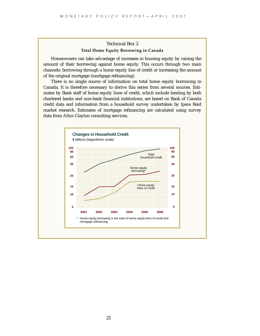#### Technical Box 2 **Total Home Equity Borrowing in Canada**

<span id="page-21-0"></span>Homeowners can take advantage of increases in housing equity by raising the amount of their borrowing against home equity. This occurs through two main channels: borrowing through a home equity line of credit or increasing the amount of the original mortgage (mortgage refinancing).

There is no single source of information on total home equity borrowing in Canada. It is therefore necessary to derive this series from several sources. Estimates by Bank staff of home equity lines of credit, which include lending by both chartered banks and non-bank financial institutions, are based on Bank of Canada credit data and information from a household survey undertaken by Ipsos Reid market research. Estimates of mortgage refinancing are calculated using survey data from Altus Clayton consulting services.

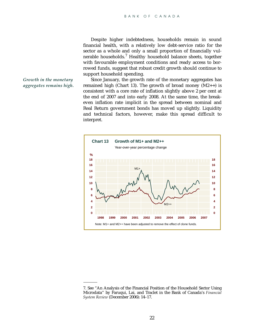Despite higher indebtedness, households remain in sound financial health, with a relatively low debt-service ratio for the sector as a whole and only a small proportion of financially vulnerable households.<sup>7</sup> Healthy household balance sheets, together with favourable employment conditions and ready access to borrowed funds, suggest that robust credit growth should continue to support household spending.

#### *Growth in the monetary aggregates remains high.*

Since January, the growth rate of the monetary aggregates has remained high (Chart 13). The growth of broad money  $(M2++)$  is consistent with a core rate of inflation slightly above 2 per cent at the end of 2007 and into early 2008. At the same time, the breakeven inflation rate implicit in the spread between nominal and Real Return government bonds has moved up slightly. Liquidity and technical factors, however, make this spread difficult to interpret.



<sup>7.</sup> See "An Analysis of the Financial Position of the Household Sector Using Microdata'' by Faruqui, Lai, and Traclet in the Bank of Canada's *Financial System Review* (December 2006): 14–17.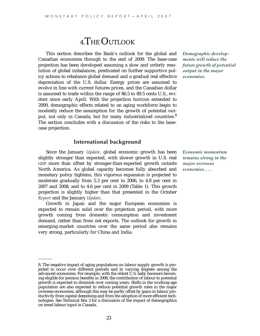# 4.THE OUTLOOK

<span id="page-23-0"></span>This section describes the Bank's outlook for the global and Canadian economies through to the end of 2009. The base-case projection has been developed assuming a slow and orderly resolution of global imbalances, predicated on further supportive policy actions to rebalance global demand and a gradual real effective depreciation of the U.S. dollar. Energy prices are assumed to evolve in line with current futures prices, and the Canadian dollar is assumed to trade within the range of 86.5 to 89.5 cents U.S., evident since early April. With the projection horizon extended to 2009, demographic effects related to an aging workforce begin to modestly reduce the assumption for the growth of potential output, not only in Canada, but for many industrialized countries.<sup>8</sup> The section concludes with a discussion of the risks to the basecase projection.

#### **International background**

Since the January *Update*, global economic growth has been slightly stronger than expected, with slower growth in U.S. real GDP more than offset by stronger-than-expected growth outside North America. As global capacity becomes fully absorbed and monetary policy tightens, this vigorous expansion is projected to moderate gradually from 5.3 per cent in 2006, to 4.8 per cent in 2007 and 2008, and to 4.6 per cent in 2009 (Table 1). This growth projection is slightly higher than that presented in the October *Report* and the January *Update*.

Growth in Japan and the major European economies is expected to remain solid over the projection period, with more growth coming from domestic consumption and investment demand, rather than from net exports. The outlook for growth in emerging-market countries over the same period also remains very strong, particularly for China and India.

*Demographic developments will reduce the future growth of potential output in the major economies.*

*Economic momentum remains strong in the major overseas economies . . .*

<sup>8.</sup> The negative impact of aging populations on labour supply growth is projected to occur over different periods and to varying degrees among the advanced economies. For example, with the oldest U.S. baby boomers becoming eligible for pension benefits in 2008, the contribution of labour to potential growth is expected to diminish over coming years. Shifts in the working-age population are also expected to reduce potential growth rates in the major overseas economies, although this may be partly offset by gains in labour productivity from capital deepening and from the adoption of more efficient technologies. See Technical Box 3 for a discussion of the impact of demographics on trend labour input in Canada.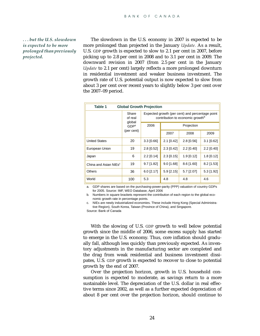*. . . but the U.S. slowdown is expected to be more prolonged than previously projected.*

The slowdown in the U.S. economy in 2007 is expected to be more prolonged than projected in the January *Update.* As a result, U.S. GDP growth is expected to slow to 2.1 per cent in 2007, before picking up to 2.8 per cent in 2008 and to 3.1 per cent in 2009. The downward revision in 2007 (from 2.5 per cent in the January *Update* to 2.1 per cent) largely reflects a more prolonged downturn in residential investment and weaker business investment. The growth rate of U.S. potential output is now expected to slow from about 3 per cent over recent years to slightly below 3 per cent over the 2007–09 period.

| Table 1                           |                            | <b>Global Growth Projection</b>                                                                 |              |              |              |  |  |  |  |  |  |
|-----------------------------------|----------------------------|-------------------------------------------------------------------------------------------------|--------------|--------------|--------------|--|--|--|--|--|--|
|                                   | Share<br>of real<br>global | Expected growth (per cent) and percentage point<br>contribution to economic growth <sup>b</sup> |              |              |              |  |  |  |  |  |  |
|                                   | GDP <sup>a</sup>           | 2006                                                                                            | Projection   |              |              |  |  |  |  |  |  |
|                                   | (per cent)                 |                                                                                                 | 2007         | 2008         | 2009         |  |  |  |  |  |  |
| <b>United States</b>              | 20                         | $3.3$ [0.66]                                                                                    | $2.1$ [0.42] | $2.8$ [0.56] | $3.1$ [0.62] |  |  |  |  |  |  |
| European Union                    | 19                         | $2.8$ [0.52]                                                                                    | $2.3$ [0.42] | 2.2 [0.40]   | 2.2 [0.40]   |  |  |  |  |  |  |
| Japan                             | 6                          | $2.2$ [0.14]                                                                                    | $2.3$ [0.15] | $1.9$ [0.12] | $1.8$ [0.12] |  |  |  |  |  |  |
| China and Asian NIEs <sup>c</sup> | 19                         | $9.7$ [1.82]                                                                                    | $9.0$ [1.68] | $8.6$ [1.60] | $8.2$ [1.53] |  |  |  |  |  |  |
| Others                            | 36                         | $6.0$ [2.17]                                                                                    | $5.9$ [2.15] | 5.7 [2.07]   | $5.3$ [1.92] |  |  |  |  |  |  |
| World                             | 100                        | 5.3                                                                                             | 4.8          | 4.8          | 4.6          |  |  |  |  |  |  |

a. GDP shares are based on the purchasing-power-parity (PPP) valuation of country GDPs for 2005. Source: IMF, WEO Database, April 2006

b. Numbers in square brackets represent the contribution of each region to the global economic growth rate in percentage points.

c. NIEs are newly industrialized economies. These include Hong Kong (Special Administrative Region), South Korea, Taiwan (Province of China), and Singapore.

Source: Bank of Canada

With the slowing of U.S. GDP growth to well below potential growth since the middle of 2006, some excess supply has started to emerge in the U.S. economy. Thus, core inflation should gradually fall, although less quickly than previously expected. As inventory adjustments in the manufacturing sector are completed and the drag from weak residential and business investment dissipates, U.S. GDP growth is expected to recover to close to potential growth by the end of 2007.

Over the projection horizon, growth in U.S. household consumption is expected to moderate, as savings return to a more sustainable level. The depreciation of the U.S. dollar in real effective terms since 2002, as well as a further expected depreciation of about 8 per cent over the projection horizon, should continue to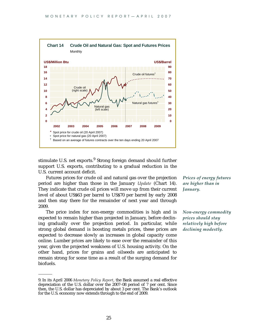

stimulate U.S. net exports.<sup>9</sup> Strong foreign demand should further support U.S. exports, contributing to a gradual reduction in the U.S. current account deficit.

Futures prices for crude oil and natural gas over the projection period are higher than those in the January *Update* (Chart 14). They indicate that crude oil prices will move up from their current level of about US\$63 per barrel to US\$70 per barrel by early 2008 and then stay there for the remainder of next year and through 2009.

The price index for non-energy commodities is high and is expected to remain higher than projected in January, before declining gradually over the projection period. In particular, while strong global demand is boosting metals prices, these prices are expected to decrease slowly as increases in global capacity come online. Lumber prices are likely to ease over the remainder of this year, given the projected weakness of U.S. housing activity. On the other hand, prices for grains and oilseeds are anticipated to remain strong for some time as a result of the surging demand for biofuels.

*Prices of energy futures are higher than in January.*

*Non-energy commodity prices should stay relatively high before declining modestly.*

<sup>9.</sup> In its April 2006 *Monetary Policy Report*, the Bank assumed a real effective depreciation of the U.S. dollar over the 2007–08 period of 7 per cent. Since then, the U.S. dollar has depreciated by about 3 per cent. The Bank's outlook for the U.S. economy now extends through to the end of 2009.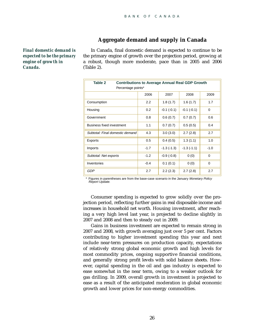## **Aggregate demand and supply in Canada**

*Final domestic demand is expected to be the primary engine of growth in Canada.*

In Canada, final domestic demand is expected to continue to be the primary engine of growth over the projection period, growing at a robust, though more moderate, pace than in 2005 and 2006 (Table 2).

| Table 2<br><b>Contributions to Average Annual Real GDP Growth</b><br>Percentage points* |        |              |              |             |  |  |  |  |  |  |  |
|-----------------------------------------------------------------------------------------|--------|--------------|--------------|-------------|--|--|--|--|--|--|--|
|                                                                                         | 2006   | 2007         | 2008         | 2009        |  |  |  |  |  |  |  |
| Consumption                                                                             | 2.2    | 1.8(1.7)     | 1.6(1.7)     | 1.7         |  |  |  |  |  |  |  |
| Housing                                                                                 | 0.2    | $-0.1(-0.1)$ | $-0.1(-0.1)$ | $\mathbf 0$ |  |  |  |  |  |  |  |
| Government                                                                              | 0.8    | 0.6(0.7)     | 0.7(0.7)     | 0.6         |  |  |  |  |  |  |  |
| Business fixed investment                                                               | 1.1    | 0.7(0.7)     | 0.5(0.5)     | 0.4         |  |  |  |  |  |  |  |
| Subtotal: Final domestic demand                                                         | 4.3    | 3.0(3.0)     | 2.7(2.8)     | 2.7         |  |  |  |  |  |  |  |
| Exports                                                                                 | 0.5    | 0.4(0.5)     | 1.3(1.1)     | 1.0         |  |  |  |  |  |  |  |
| Imports                                                                                 | $-1.7$ | $-1.3(-1.3)$ | $-1.3(-1.1)$ | $-1.0$      |  |  |  |  |  |  |  |
| Subtotal: Net exports                                                                   | $-1.2$ | $-0.9(-0.8)$ | 0(0)         | $\mathbf 0$ |  |  |  |  |  |  |  |
| Inventories                                                                             | $-0.4$ | 0.1(0.1)     | 0(0)         | $\mathbf 0$ |  |  |  |  |  |  |  |
| GDP                                                                                     | 2.7    | 2.2(2.3)     | 2.7(2.8)     | 2.7         |  |  |  |  |  |  |  |

Figures in parentheses are from the base-case scenario in the January Monetary Policy Report Update.

Consumer spending is expected to grow solidly over the projection period, reflecting further gains in real disposable income and increases in household net worth. Housing investment, after reaching a very high level last year, is projected to decline slightly in 2007 and 2008 and then to steady out in 2009.

Gains in business investment are expected to remain strong in 2007 and 2008, with growth averaging just over 5 per cent. Factors contributing to higher investment spending this year and next include near-term pressures on production capacity, expectations of relatively strong global economic growth and high levels for most commodity prices, ongoing supportive financial conditions, and generally strong profit levels with solid balance sheets. However, capital spending in the oil and gas industry is expected to ease somewhat in the near term, owing to a weaker outlook for gas drilling. In 2009, overall growth in investment is projected to ease as a result of the anticipated moderation in global economic growth and lower prices for non-energy commodities.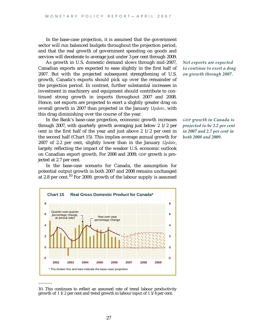In the base-case projection, it is assumed that the government sector will run balanced budgets throughout the projection period, and that the real growth of government spending on goods and services will decelerate to average just under 3 per cent through 2009.

As growth in U.S. domestic demand slows through mid-2007, Canadian exports are expected to ease slightly in the first half of 2007. But with the projected subsequent strengthening of U.S. growth, Canada's exports should pick up over the remainder of the projection period. In contrast, further substantial increases in investment in machinery and equipment should contribute to continued strong growth in imports throughout 2007 and 2008. Hence, net exports are projected to exert a slightly greater drag on overall growth in 2007 than projected in the January *Update*, with this drag diminishing over the course of the year.

In the Bank's base-case projection, economic growth increases through 2007, with quarterly growth averaging just below 2 1/2 per cent in the first half of the year and just above 2 1/2 per cent in the second half (Chart 15). This implies average annual growth for 2007 of 2.2 per cent, slightly lower than in the January *Update*, largely reflecting the impact of the weaker U.S. economic outlook on Canadian export growth. For 2008 and 2009, GDP growth is projected at 2.7 per cent.

In the base-case scenario for Canada, the assumption for potential output growth in both 2007 and 2008 remains unchanged at 2.8 per cent.<sup>10</sup> For 2009, growth of the labour supply is assumed



<sup>10.</sup> This continues to reflect an assumed rate of trend labour productivity growth of 1 1/2 per cent and trend growth in labour input of 1  $1/\overline{4}$  per cent.

*Net exports are expected to continue to exert a drag on growth through 2007.*

*GDP growth in Canada is projected to be 2.2 per cent in 2007 and 2.7 per cent in both 2008 and 2009.*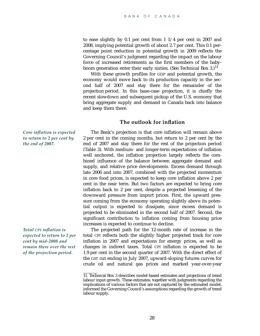to ease slightly by 0.1 per cent from 1 1/4 per cent in 2007 and 2008, implying potential growth of about 2.7 per cent. This 0.1 percentage point reduction in potential growth in 2009 reflects the Governing Council's judgment regarding the impact on the labour force of increased retirements as the first members of the babyboom generation enter their early sixties. (See Technical Box 3.)  $^{11}$ 

With these growth profiles for GDP and potential growth, the economy would move back to its production capacity in the second half of 2007 and stay there for the remainder of the projection period. In this base-case projection, it is chiefly the recent slowdown and subsequent pickup of the U.S. economy that bring aggregate supply and demand in Canada back into balance and keep them there.

#### **The outlook for inflation**

The Bank's projection is that core inflation will remain above 2 per cent in the coming months, but return to 2 per cent by the end of 2007 and stay there for the rest of the projection period (Table 3). With medium- and longer-term expectations of inflation well anchored, the inflation projection largely reflects the combined influence of the balance between aggregate demand and supply, and relative price developments. Excess demand through late 2006 and into 2007, combined with the projected momentum in core food prices, is expected to keep core inflation above 2 per cent in the near term. But two factors are expected to bring core inflation back to 2 per cent, despite a projected lessening of the downward pressure from import prices. First, the upward pressure coming from the economy operating slightly above its potential output is expected to dissipate, since excess demand is projected to be eliminated in the second half of 2007. Second, the significant contribution to inflation coming from housing price increases is expected to continue to decline.

The projected path for the 12-month rate of increase in the total CPI reflects both the slightly higher projected track for core inflation in 2007 and expectations for energy prices, as well as changes in indirect taxes. Total CPI inflation is expected to be 1.9 per cent in the second quarter of 2007. With the direct effect of the GST cut ending in July 2007, upward-sloping futures curves for crude oil and natural gas prices and marked year-over-year

*Core inflation is expected to return to 2 per cent by the end of 2007.*

*Total CPI inflation is expected to return to 2 per cent by mid-2008 and remain there over the rest of the projection period.*

<sup>11.</sup> Technical Box 3 describes model-based estimates and projections of trend labour input growth. These estimates, together with judgments regarding the implications of various factors that are not captured by the estimated model, informed the Governing Council's assumptions regarding the growth of trend labour supply.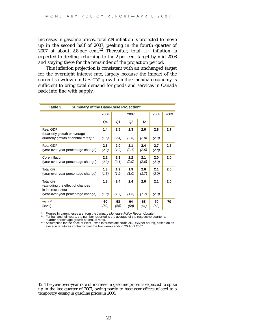increases in gasoline prices, total CPI inflation is projected to move up in the second half of 2007, peaking in the fourth quarter of  $2007$  at about 2.8 per cent.<sup>12</sup> Thereafter, total CPI inflation is expected to decline, returning to the 2 per cent target by mid-2008 and staying there for the remainder of the projection period.

This inflation projection is consistent with an unchanged target for the overnight interest rate, largely because the impact of the current slowdown in U.S. GDP growth on the Canadian economy is sufficient to bring total demand for goods and services in Canada back into line with supply.

| Summary of the Base-Case Projection*<br>Table 3                      |              |              |                |                |              |      |  |  |  |
|----------------------------------------------------------------------|--------------|--------------|----------------|----------------|--------------|------|--|--|--|
|                                                                      | 2006         |              | 2007           |                | 2008         | 2009 |  |  |  |
|                                                                      | Q4           | Q1           | Q <sub>2</sub> | H <sub>2</sub> |              |      |  |  |  |
| Real GDP<br>(quarterly growth or average)                            | 1.4          | 2.5          | 2.3            | 2.6            | 2.8          | 2.7  |  |  |  |
| quarterly growth at annual rates)**                                  | (1.5)        | (2.4)        | (2.6)          | (2.8)          | (2.9)        |      |  |  |  |
| Real GDP<br>(year-over-year percentage change)                       | 2.3<br>(2.3) | 2.0<br>(1.9) | 2.1<br>(2.1)   | 2.4<br>(2.5)   | 2.7<br>(2.8) | 2.7  |  |  |  |
| Core inflation<br>(year-over-year percentage change)                 | 2.2<br>(2.2) | 2.3<br>(2.1) | 2.2<br>(2.0)   | 2.1<br>(2.0)   | 2.0<br>(2.0) | 2.0  |  |  |  |
| Total CPI<br>(year-over-year percentage change)                      | 1.3<br>(1.3) | 1.9<br>(1.2) | 1.9<br>(1.0)   | 2.6<br>(1.7)   | 2.1<br>(2.0) | 2.0  |  |  |  |
| Total CPI<br>(excluding the effect of changes)<br>in indirect taxes) | 1.8          | 2.4          | 2.4            | 2.6            | 2.1          | 2.0  |  |  |  |
| (year-over-year percentage change)                                   | (1.8)        | (1.7)        | (1.5)          | (1.7)          | (2.0)        |      |  |  |  |
| WTI ***<br>(level)                                                   | 60<br>(60)   | 58<br>(56)   | 64<br>(58)     | 68<br>(61)     | 70<br>(63)   | 70   |  |  |  |

\* Figures in parentheses are from the January Monetary Policy Report Update.<br>\*\* For half and full vears the number reported is the average of the respective g

For half and full years, the number reported is the average of the respective quarter-to-

quarter percentage growth at annual rates. \*\*\* Assumption for the price of West Texas Intermediate crude oil (US\$ per barrel), based on an average of futures contracts over the two weeks ending 20 April 2007

<sup>12.</sup> The year-over-year rate of increase in gasoline prices is expected to spike up in the last quarter of 2007, owing partly to base-year effects related to a temporary easing in gasoline prices in 2006.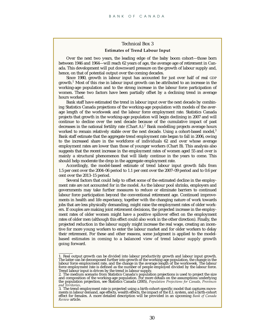#### Technical Box 3 **Estimates of Trend Labour Input**

<span id="page-30-0"></span>Over the next two years, the leading edge of the baby boom cohort—those born between 1946 and 1964—will reach 62 years of age, the average age of retirement in Canada. This development will put downward pressure on the growth of labour supply and, hence, on that of potential output over the coming decades.

Since 1980, growth in labour input has accounted for just over half of real GDP growth.<sup>1</sup> Most of this rise in labour input growth can be attributed to an increase in the working-age population and to the strong increase in the labour force participation of women. These two factors have been partially offset by a declining trend in average hours worked.

Bank staff have estimated the trend in labour input over the next decade by combining Statistics Canada projections of the working-age population with models of the average length of the workweek and the labour force employment rate. Statistics Canada projects that growth in the working-age population will begin declining in 2007 and will continue to decline over the next decade because of the cumulative impact of past decreases in the national fertility rate (Chart A).<sup>2</sup> Bank modelling projects average hours worked to remain relatively stable over the next decade. Using a cohort-based model, $3$ Bank staff estimate that the aggregate trend employment rate began to fall in 2006, owing to the increased share in the workforce of individuals 62 and over whose average employment rates are lower than those of younger workers (Chart B). This analysis also suggests that the recent increase in the employment rates of women aged 55 and over is mainly a structural phenomenon that will likely continue in the years to come. This should help moderate the drop in the aggregate employment rate.

Accordingly, the model-based estimate of trend labour input growth falls from 1.5 per cent over the 2004–06 period to 1.1 per cent over the 2007–09 period and to 0.6 per cent over the 2013–15 period.

Several factors that could help to offset some of the estimated decline in the employment rate are not accounted for in the model. As the labour pool shrinks, employers and governments may take further measures to reduce or eliminate barriers to continued labour force participation beyond the conventional retirement age. Continued improvements in health and life expectancy, together with the changing nature of work towards jobs that are less physically demanding, might raise the employment rates of older workers. If couples are making joint retirement decisions, the projected increase in the employment rates of older women might have a positive spillover effect on the employment rates of older men (although this effect could also work in the other direction). Finally, the projected reduction in the labour supply might increase the real wage, creating an incentive for more young workers to enter the labour market and for older workers to delay their retirement. For these and other reasons, some judgment is applied to the modelbased estimates in coming to a balanced view of trend labour supply growth going forward.

<sup>1.</sup> Real output growth can be divided into labour productivity growth and labour input growth. The latter can be decomposed further into growth of the working-age population, the change in the labour force employment rate, and the change in the average length of the workweek. The labour force employment rate is defined as the number of people employed divided by the labour force. Trend labour input is driven by the trend in labour supply.

<sup>2.</sup> The medium scenario from Statistics Canada's population projections is used to project the size and composition of the working-age population. For more details on the assumptions underlying the population projection, see Statistics Canada (2005), *Population Projections for Canada, Provinces* and Territories.<br>3. The trend employment rate is projected using a birth-cohort-specific model that captures move-

ments in labour demand, age effects, wealth effects, the impact of the E.I. system, and a birth-cohort effect for females. A more detailed description will be provided in an upcoming *Bank of Canada Review* article.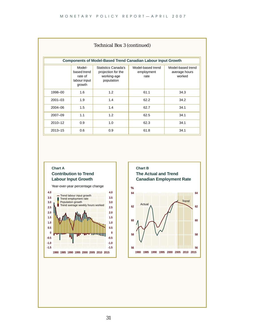|             | Technical Box 3 (continued)<br><b>Components of Model-Based Trend Canadian Labour Input Growth</b> |                                                                               |                                         |                                              |  |  |  |  |  |  |  |
|-------------|----------------------------------------------------------------------------------------------------|-------------------------------------------------------------------------------|-----------------------------------------|----------------------------------------------|--|--|--|--|--|--|--|
|             | Model-<br>based trend<br>rate of<br>labour input<br>growth                                         | <b>Statistics Canada's</b><br>projection for the<br>working-age<br>population | Model-based trend<br>employment<br>rate | Model-based trend<br>average hours<br>worked |  |  |  |  |  |  |  |
| 1998-00     | 1.6                                                                                                | 1.2                                                                           | 61.1                                    | 34.3                                         |  |  |  |  |  |  |  |
| $2001 - 03$ | 1.9                                                                                                | 1.4                                                                           | 62.2                                    | 34.2                                         |  |  |  |  |  |  |  |
| 2004-06     | 1.5                                                                                                | 1.4                                                                           | 62.7                                    | 34.1                                         |  |  |  |  |  |  |  |
| 2007-09     | 1.1                                                                                                | 1.2                                                                           | 62.5                                    | 34.1                                         |  |  |  |  |  |  |  |
| $2010 - 12$ | 0.9                                                                                                | 1.0                                                                           | 62.3                                    | 34.1                                         |  |  |  |  |  |  |  |
| $2013 - 15$ | 0.6                                                                                                | 0.9                                                                           | 61.8                                    | 34.1                                         |  |  |  |  |  |  |  |